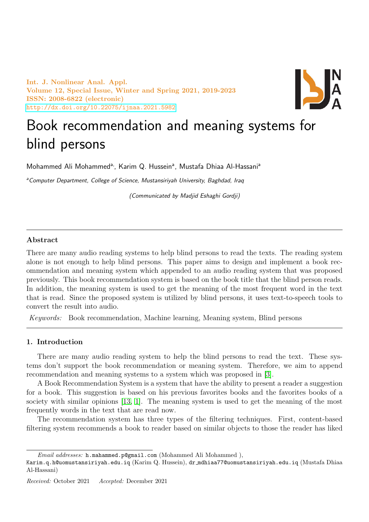Int. J. Nonlinear Anal. Appl. Volume 12, Special Issue, Winter and Spring 2021, 2019-2023 ISSN: 2008-6822 (electronic) <http://dx.doi.org/10.22075/ijnaa.2021.5982>



# Book recommendation and meaning systems for blind persons

Mohammed Ali Mohammed<sup>a,</sup>, Karim Q. Hussein<sup>a</sup>, Mustafa Dhiaa Al-Hassani<sup>a</sup>

a Computer Department, College of Science, Mustansiriyah University, Baghdad, Iraq

(Communicated by Madjid Eshaghi Gordji)

# Abstract

There are many audio reading systems to help blind persons to read the texts. The reading system alone is not enough to help blind persons. This paper aims to design and implement a book recommendation and meaning system which appended to an audio reading system that was proposed previously. This book recommendation system is based on the book title that the blind person reads. In addition, the meaning system is used to get the meaning of the most frequent word in the text that is read. Since the proposed system is utilized by blind persons, it uses text-to-speech tools to convert the result into audio.

Keywords: Book recommendation, Machine learning, Meaning system, Blind persons

# 1. Introduction

There are many audio reading system to help the blind persons to read the text. These systems don't support the book recommendation or meaning system. Therefore, we aim to append recommendation and meaning systems to a system which was proposed in [\[3\]](#page-4-0).

A Book Recommendation System is a system that have the ability to present a reader a suggestion for a book. This suggestion is based on his previous favorites books and the favorites books of a society with similar opinions [\[13,](#page-4-1) [1\]](#page-4-2). The meaning system is used to get the meaning of the most frequently words in the text that are read now.

The recommendation system has three types of the filtering techniques. First, content-based filtering system recommends a book to reader based on similar objects to those the reader has liked

Email addresses: h.mahammed.p@gmail.com (Mohammed Ali Mohammed ),

Karim.q.h@uomustansiriyah.edu.iq (Karim Q. Hussein), dr mdhiaa77@uomustansiriyah.edu.iq (Mustafa Dhiaa Al-Hassani)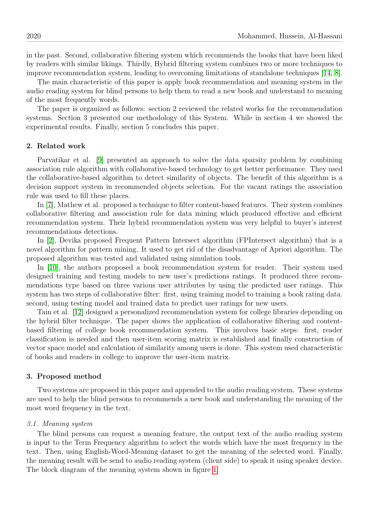in the past. Second, collaborative filtering system which recommends the books that have been liked by readers with similar likings. Thirdly, Hybrid filtering system combines two or more techniques to improve recommendation system, leading to overcoming limitations of standalone techniques [\[14,](#page-4-3) [8\]](#page-4-4).

The main characteristic of this paper is apply book recommendation and meaning system in the audio reading system for blind persons to help them to read a new book and understand to meaning of the most frequently words.

The paper is organized as follows: section 2 reviewed the related works for the recommendation systems. Section 3 presented our methodology of this System. While in section 4 we showed the experimental results. Finally, section 5 concludes this paper.

# 2. Related work

Parvatikar et al. [\[9\]](#page-4-5) presented an approach to solve the data sparsity problem by combining association rule algorithm with collaborative-based technology to get better performance. They used the collaborative-based algorithm to detect similarity of objects. The benefit of this algorithm is a decision support system in recommended objects selection. For the vacant ratings the association rule was used to fill these places.

In [\[7\]](#page-4-6), Mathew et al. proposed a technique to filter content-based features. Their system combines collaborative filtering and association rule for data mining which produced effective and efficient recommendation system. Their hybrid recommendation system was very helpful to buyer's interest recommendations detections.

In [\[2\]](#page-4-7), Devika proposed Frequent Pattern Intersect algorithm (FPIntersect algorithm) that is a novel algorithm for pattern mining. It used to get rid of the disadvantage of Apriori algorithm. The proposed algorithm was tested and validated using simulation tools.

In [\[10\]](#page-4-8), the authors proposed a book recommendation system for reader. Their system used designed training and testing models to new user's predictions ratings. It produced three recommendations type based on three various user attributes by using the predicted user ratings. This system has two steps of collaborative filter: first, using training model to training a book rating data. second, using testing model and trained data to predict user ratings for new users.

Tain et al. [\[12\]](#page-4-9) designed a personalized recommendation system for college libraries depending on the hybrid filter technique. The paper shows the application of collaborative filtering and contentbased filtering of college book recommendation system. This involves basic steps: first, reader classification is needed and then user-item scoring matrix is established and finally construction of vector space model and calculation of similarity among users is done. This system used characteristic of books and readers in college to improve the user-item matrix.

#### 3. Proposed method

Two systems are proposed in this paper and appended to the audio reading system. These systems are used to help the blind persons to recommends a new book and understanding the meaning of the most word frequency in the text.

## 3.1. Meaning system

The blind persons can request a meaning feature, the output text of the audio reading system is input to the Term Frequency algorithm to select the words which have the most frequency in the text. Then, using English-Word-Meaning dataset to get the meaning of the selected word. Finally, the meaning result will be send to audio reading system (client side) to speak it using speaker device. The block diagram of the meaning system shown in figure [1.](#page-2-0)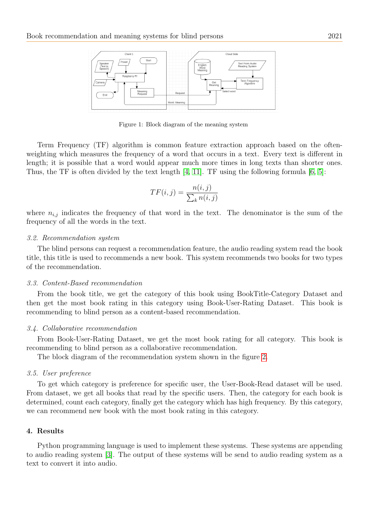

Figure 1: Block diagram of the meaning system

Term Frequency (TF) algorithm is common feature extraction approach based on the oftenweighting which measures the frequency of a word that occurs in a text. Every text is different in length; it is possible that a word would appear much more times in long texts than shorter ones. Thus, the TF is often divided by the text length [\[4,](#page-4-10) [11\]](#page-4-11). TF using the following formula [\[6,](#page-4-12) [5\]](#page-4-13):

<span id="page-2-0"></span>
$$
TF(i,j) = \frac{n(i,j)}{\sum_{k} n(i,j)}
$$

where  $n_{i,j}$  indicates the frequency of that word in the text. The denominator is the sum of the frequency of all the words in the text.

#### 3.2. Recommendation system

The blind persons can request a recommendation feature, the audio reading system read the book title, this title is used to recommends a new book. This system recommends two books for two types of the recommendation.

#### 3.3. Content-Based recommendation

From the book title, we get the category of this book using BookTitle-Category Dataset and then get the most book rating in this category using Book-User-Rating Dataset. This book is recommending to blind person as a content-based recommendation.

#### 3.4. Collaborative recommendation

From Book-User-Rating Dataset, we get the most book rating for all category. This book is recommending to blind person as a collaborative recommendation.

The block diagram of the recommendation system shown in the figure [2.](#page-3-0)

## 3.5. User preference

To get which category is preference for specific user, the User-Book-Read dataset will be used. From dataset, we get all books that read by the specific users. Then, the category for each book is determined, count each category, finally get the category which has high frequency. By this category, we can recommend new book with the most book rating in this category.

## 4. Results

Python programming language is used to implement these systems. These systems are appending to audio reading system [\[3\]](#page-4-0). The output of these systems will be send to audio reading system as a text to convert it into audio.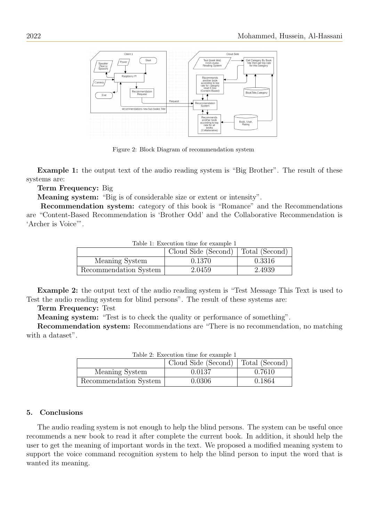

<span id="page-3-0"></span>Figure 2: Block Diagram of recommendation system

Example 1: the output text of the audio reading system is "Big Brother". The result of these systems are:

Term Frequency: Big

Meaning system: "Big is of considerable size or extent or intensity".

Recommendation system: category of this book is "Romance" and the Recommendations are "Content-Based Recommendation is 'Brother Odd' and the Collaborative Recommendation is 'Archer is Voice'".

| Table 1: Execution time for example 1 |                                    |        |
|---------------------------------------|------------------------------------|--------|
|                                       | Cloud Side (Second) Total (Second) |        |
| Meaning System                        | 0.1370                             | 0.3316 |
| Recommendation System                 | 2.0459                             | 2.4939 |

Table 1: Execution time for example 1

Example 2: the output text of the audio reading system is "Test Message This Text is used to Test the audio reading system for blind persons". The result of these systems are:

Term Frequency: Test

Meaning system: "Test is to check the quality or performance of something".

Recommendation system: Recommendations are "There is no recommendation, no matching with a dataset".

| Table 2. Execution time for example 1 |                                      |        |  |
|---------------------------------------|--------------------------------------|--------|--|
|                                       | Cloud Side (Second)   Total (Second) |        |  |
| Meaning System                        | 0.0137                               | 0.7610 |  |
| Recommendation System                 | 0.0306                               | 0.1864 |  |

Table 2: Execution time for example 1

## 5. Conclusions

The audio reading system is not enough to help the blind persons. The system can be useful once recommends a new book to read it after complete the current book. In addition, it should help the user to get the meaning of important words in the text. We proposed a modified meaning system to support the voice command recognition system to help the blind person to input the word that is wanted its meaning.